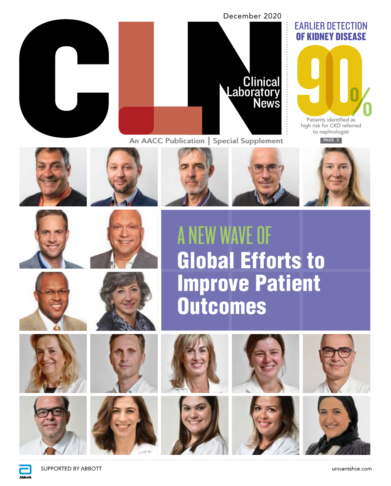



An AACC Publication | Special Supplement An AACC Publication | Special Supplement



high risk for CKD referred Patients identified as to nephrologist

PAGE 3















A NEW WAVE OF Global Efforts to Improve Patient **Outcomes** 









**Abbott** 















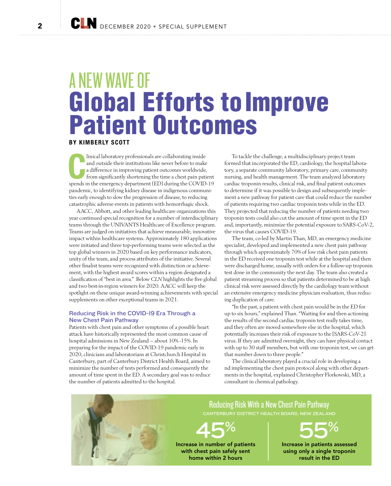# **Global Efforts to Improve<br>Patient Outcomes** A NEW WAVE OF

BY KIMBERLY SCOTT

Inical laboratory professionals are collaborating inside<br>and outside their institutions like never before to make<br>a difference in improving patient outcomes worldwide,<br>from significantly shortening the time a chest pain pa linical laboratory professionals are collaborating inside and outside their institutions like never before to make a difference in improving patient outcomes worldwide, from significantly shortening the time a chest pain patient pandemic, to identifying kidney disease in indigenous communities early enough to slow the progression of disease, to reducing catastrophic adverse events in patients with hemorrhagic shock.

AACC, Abbott, and other leading healthcare organizations this year continued special recognition for a number of interdisciplinary teams through the UNIVANTS Healthcare of Excellence program. Teams are judged on initiatives that achieve measurable, innovative impact within healthcare systems. Approximately 180 applications were initiated and three top-performing teams were selected as the top global winners in 2020 based on key performance indicators, unity of the team, and process attributes of the initiative. Several other finalist teams were recognized with distinction or achievement, with the highest award scores within a region designated a classification of "best in area." Below *CLN* highlights the five global and two best-in-region winners for 2020. AACC will keep the spotlight on these unique award-winning achievements with special supplements on other exceptional teams in 2021.

# Reducing Risk in the COVID-19 Era Through a New Chest Pain Pathway

Patients with chest pain and other symptoms of a possible heart attack have historically represented the most common cause of hospital admissions in New Zealand – about 10% -15%. In preparing for the impact of the COVID-19 pandemic early in 2020, clinicians and laboratorians at Christchurch Hospital in Canterbury, part of Canterbury District Health Board, aimed to minimize the number of tests performed and consequently the amount of time spent in the ED. A secondary goal was to reduce the number of patients admitted to the hospital.

To tackle the challenge, a multidisciplinary project team formed that incorporated the ED, cardiology, the hospital laboratory, a separate community laboratory, primary care, community nursing, and health management. The team analyzed laboratory cardiac troponin results, clinical risk, and final patient outcomes to determine if it was possible to design and subsequently implement a new pathway for patient care that could reduce the number of patients requiring two cardiac troponin tests while in the ED. They projected that reducing the number of patients needing two troponin tests could also cut the amount of time spent in the ED and, importantly, minimize the potential exposure to SARS-CoV-2, the virus that causes COVID-19.

The team, co-led by Martin Than, MD, an emergency medicine specialist, developed and implemented a new chest pain pathway through which approximately 70% of low risk chest pain patients in the ED received one troponin test while at the hospital and then were discharged home, usually with orders for a follow-up troponin test done in the community the next day. The team also created a patient streaming process so that patients determined to be at high clinical risk were assessed directly by the cardiology team without an extensive emergency medicine physician evaluation, thus reducing duplication of care.

"In the past, a patient with chest pain would be in the ED for up to six hours," explained Than. "Waiting for and then actioning the results of the second cardiac troponin test really takes time, and they often are moved somewhere else in the hospital, which potentially increases their risk of exposure to the [SARS-CoV-2] virus. If they are admitted overnight, they can have physical contact with up to 30 staff members, but with one troponin test, we can get that number down to three people."

The clinical laboratory played a crucial role in developing a nd implementing the chest pain protocol along with other departments in the hospital, explained Christopher Florkowski, MD, a consultant in chemical pathology.

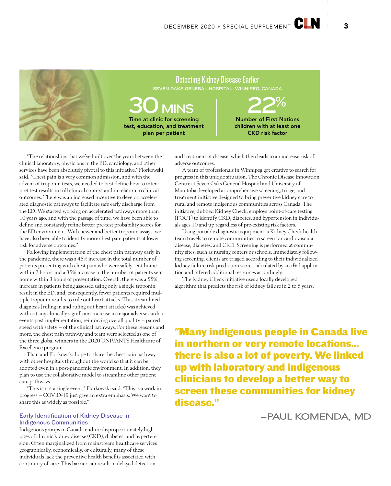

"The relationships that we've built over the years between the clinical laboratory, physicians in the ED, cardiology, and other services have been absolutely pivotal to this initiative," Florkowski said. "Chest pain is a very common admission, and with the advent of troponin tests, we needed to best define how to interpret test results in full clinical context and in relation to clinical outcomes. There was an increased incentive to develop accelerated diagnostic pathways to facilitate safe early discharge from the ED. We started working on accelerated pathways more than 10 years ago, and with the passage of time, we have been able to define and constantly refine better pre-test probability scores for the ED environment. With newer and better troponin assays, we have also been able to identify more chest pain patients at lower risk for adverse outcomes."

Following implementation of the chest pain pathway early in the pandemic, there was a 45% increase in the total number of patients presenting with chest pain who were safely sent home within 2 hours and a 35% increase in the number of patients sent home within 3 hours of presentation. Overall, there was a 55% increase in patients being assessed using only a single troponin result in the ED, and, consequently, fewer patients required multiple troponin results to rule out heart attacks. This streamlined diagnosis (ruling in and ruling out heart attacks) was achieved without any clinically significant increase in major adverse cardiac events post implementation, reinforcing overall quality – paired speed with safety – of the clinical pathways. For these reasons and more, the chest pain pathway and team were selected as one of the three global winners in the 2020 UNIVANTS Healthcare of Excellence program.

Than and Florkowski hope to share the chest pain pathway with other hospitals throughout the world so that it can be adopted even in a post-pandemic environment. In addition, they plan to use the collaborative model to streamline other patient care pathways.

"This is not a single event," Florkowski said. "This is a work in progress – COVID-19 just gave an extra emphasis. We want to share this as widely as possible."

# Early Identification of Kidney Disease in Indigenous Communities

Indigenous groups in Canada endure disproportionately high rates of chronic kidney disease (CKD), diabetes, and hypertension. Often marginalized from mainstream healthcare services geographically, economically, or culturally, many of these individuals lack the preventive health benefits associated with continuity of care. This barrier can result in delayed detection

and treatment of disease, which then leads to an increase risk of adverse outcomes.

A team of professionals in Winnipeg got creative to search for progress in this unique situation. The Chronic Disease Innovation Centre at Seven Oaks General Hospital and University of Manitoba developed a comprehensive screening, triage, and treatment initiative designed to bring preventive kidney care to rural and remote indigenous communities across Canada. The initiative, dubbed Kidney Check, employs point-of-care testing (POCT) to identify CKD, diabetes, and hypertension in individuals ages 10 and up regardless of pre-existing risk factors.

Using portable diagnostic equipment, a Kidney Check health team travels to remote communities to screen for cardiovascular disease, diabetes, and CKD. Screening is performed at community sites, such as nursing centers or schools. Immediately following screening, clients are triaged according to their individualized kidney failure risk prediction scores calculated by an iPad application and offered additional resources accordingly.

The Kidney Check initiative uses a locally developed algorithm that predicts the risk of kidney failure in 2 to 5 years.

"Many indigenous people in Canada live in northern or very remote locations... there is also a lot of poverty. We linked up with laboratory and indigenous clinicians to develop a better way to screen these communities for kidney disease."

–PAUL KOMENDA, MD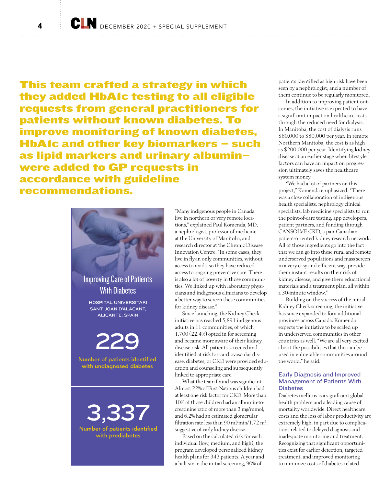This team crafted a strategy in which they added HbA1c testing to all eligible requests from general practitioners for patients without known diabetes. To improve monitoring of known diabetes, HbA1c and other key biomarkers - such as lipid markers and urinary albumin– were added to GP requests in accordance with guideline recommendations.



"Many indigenous people in Canada live in northern or very remote locations," explained Paul Komenda, MD, a nephrologist, professor of medicine at the University of Manitoba, and research director at the Chronic Disease Innovation Centre. "In some cases, they live in fly-in only communities, without access to roads, so they have reduced access to ongoing preventive care. There is also a lot of poverty in those communities. We linked up with laboratory physicians and indigenous clinicians to develop a better way to screen these communities for kidney disease."

Since launching, the Kidney Check initiative has reached 5,891 indigenous adults in 11 communities, of which 1,700 (22.4%) opted in for screening and became more aware of their kidney disease risk. All patients screened and identified at risk for cardiovascular disease, diabetes, or CKD were provided education and counseling and subsequently linked to appropriate care.

What the team found was significant. Almost 22% of First Nations children had at least one risk factor for CKD. More than 10% of those children had an albumin-tocreatinine ratio of more than 3 mg/mmol, and 6.2% had an estimated glomerular filtration rate less than  $90 \text{ m/min}/1.72 \text{ m}^2$ , suggestive of early kidney disease.

Based on the calculated risk for each individual (low, medium, and high), the program developed personalized kidney health plans for 343 patients. A year and a half since the initial screening, 90% of

patients identified as high risk have been seen by a nephrologist, and a number of them continue to be regularly monitored.

In addition to improving patient outcomes, the initiative is expected to have a significant impact on healthcare costs through the reduced need for dialysis. In Manitoba, the cost of dialysis runs \$60,000 to \$80,000 per year. In remote Northern Manitoba, the cost is as high as \$200,000 per year. Identifying kidney disease at an earlier stage when lifestyle factors can have an impact on progression ultimately saves the healthcare system money.

"We had a lot of partners on this project," Komenda emphasized. "There was a close collaboration of indigenous health specialists, nephrology clinical specialists, lab medicine specialists to run the point-of-care testing, app developers, patient partners, and funding through CANSOLVE CKD, a pan-Canadian patient-oriented kidney research network. All of those ingredients go into the fact that we can go into these rural and remote underserved populations and mass screen in a very easy and efficient way, provide them instant results on their risk of kidney disease, and give them educational materials and a treatment plan, all within a 30-minute window."

Building on the success of the initial Kidney Check screening, the initiative has since expanded to four additional provinces across Canada. Komenda expects the initiative to be scaled up in underserved communities in other countries as well. "We are all very excited about the possibilities that this can be used in vulnerable communities around the world," he said.

# Early Diagnosis and Improved Management of Patients With **Diabetes**

Diabetes mellitus is a significant global health problem and a leading cause of mortality worldwide. Direct healthcare costs and the loss of labor productivity are extremely high, in part due to complications related to delayed diagnosis and inadequate monitoring and treatment. Recognizing that significant opportunities exist for earlier detection, targeted treatment, and improved monitoring to minimize costs of diabetes-related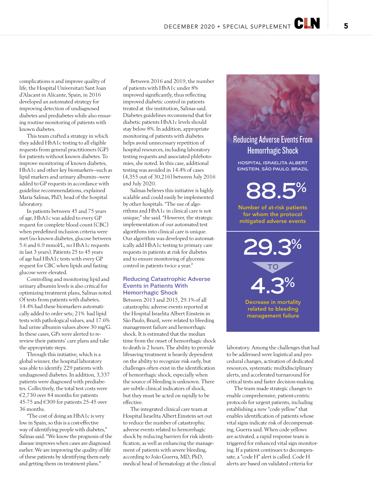complications n and improve quality of life, the Hospital Universitari Sant Joan d'Alacant in Alicante, Spain, in 2016 developed an automated strategy for improving detection of undiagnosed diabetes and prediabetes while also ensuring routine monitoring of patients with known diabetes.

This team crafted a strategy in which they added HbA1c testing to all eligible requests from general practitioners (GP) for patients without known diabetes. To improve monitoring of known diabetes, HbA1c and other key biomarkers—such as lipid markers and urinary albumin—were added to GP requests in accordance with guideline recommendations, explained Maria Salinas, PhD, head of the hospital laboratory.

In patients between 45 and 75 years of age, HbA1c was added to every GP request for complete blood count (CBC) when predefined inclusion criteria were met (no known diabetes, glucose between 5.6 and 6.9 mmol/L, no HbA1c requests in last 3 years). Patients 25 to 45 years of age had HbA1c tests with every GP request for CBC when lipids and fasting glucose were elevated.

Controlling and monitoring lipid and urinary albumin levels is also critical for optimizing treatment plans, Salinas noted. Of tests from patients with diabetes, 14.4% had these biomarkers automatically added to order sets; 21% had lipid tests with pathological values, and 17.6% had urine albumin values above 30 mg/G. In these cases, GPs were alerted to rereview their patients' care plans and take the appropriate steps.

Through this initiative, which is a global winner, the hospital laboratory was able to identify 229 patients with undiagnosed diabetes. In addition, 3,337 patients were diagnosed with prediabetes. Collectively, the total test costs were €2,730 over 84 months for patients 45-75 and €309 for patients 25-45 over 36 months.

"The cost of doing an HbA1c is very low in Spain, so this is a cost-effective way of identifying people with diabetes," Salinas said. "We know the prognosis of the disease improves when cases are diagnosed earlier. We are improving the quality of life of these patients by identifying them early and getting them on treatment plans."

Between 2016 and 2019, the number of patients with HbA1c under 8% improved significantly, thus reflecting improved diabetic control in patients treated at the institution, Salinas said. Diabetes guidelines recommend that for diabetic patients HbA1c levels should stay below 8%. In addition, appropriate monitoring of patients with diabetes helps avoid unnecessary repetition of hospital resources, including laboratory testing requests and associated phlebotomies, she noted. In this case, additional testing was avoided in 14.4% of cases (4,355 out of 30,216) between July 2016 and July 2020.

Salinas believes this initiative is highly scalable and could easily be implemented by other hospitals. "The use of algorithms and HbA1c in clinical care is not unique," she said. "However, the strategic implementation of our automated test algorithms into clinical care is unique. Our algorithm was developed to automatically add HbA1c testing to primary care requests in patients at risk for diabetes and to ensure monitoring of glycemic control in patients twice a year."

## Reducing Catastrophic Adverse Events in Patients With Hemorrhagic Shock

Between 2013 and 2015, 29.1% of all catastrophic adverse events reported at the Hospital Israelita Albert Einstein in São Paulo, Brazil, were related to bleeding management failure and hemorrhagic shock. It is estimated that the median time from the onset of hemorrhagic shock to death is 2 hours. The ability to provide lifesaving treatment is heavily dependent on the ability to recognize risk early, but challenges often exist in the identification of hemorrhagic shock, especially when the source of bleeding is unknown. There are subtle clinical indicators of shock, but they must be acted on rapidly to be effective.

The integrated clinical care team at Hospital Israelita Albert Einstein set out to reduce the number of catastrophic adverse events related to hemorrhagic shock by reducing barriers for risk identification, as well as enhancing the management of patients with severe bleeding, according to João Guerra, MD, PhD, medical head of hematology at the clinical Reducing Adverse Events From Hemorrhagic Shock HOSPITAL ISRAELITA ALBERT EINSTEIN, SÃO PAULO, BRAZIL Number of at-risk patients for whom the protocol mitigated adverse events 88.5% 29.3% TO 4.3%

> Decrease in mortality related to bleeding management failure

laboratory. Among the challenges that had to be addressed were logistical and procedural changes, activation of dedicated resources, systematic multidisciplinary alerts, and accelerated turnaround for critical tests and faster decision-making.

The team made strategic changes to enable comprehensive, patient-centric protocols for urgent patients, including establishing a new "code yellow" that enables identification of patients whose vital signs indicate risk of decompensating, Guerra said. When code yellows are activated, a rapid response team is triggered for enhanced vital sign monitoring. If a patient continues to decompensate, a "code H" alert is called. Code H alerts are based on validated criteria for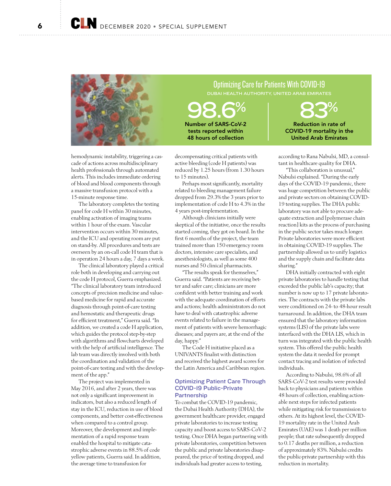

hemodynamic instability, triggering a cascade of actions across multidisciplinary health professionals through automated alerts. This includes immediate ordering of blood and blood components through a massive transfusion protocol with a 15-minute response time.

The laboratory completes the testing panel for code H within 30 minutes, enabling activation of imaging teams within 1 hour of the exam. Vascular intervention occurs within 30 minutes, and the ICU and operating room are put on stand-by. All procedures and tests are overseen by an on-call code H team that is in operation 24 hours a day, 7 days a week.

The clinical laboratory played a critical role both in developing and carrying out the code H protocol, Guerra emphasized. "The clinical laboratory team introduced concepts of precision medicine and valuebased medicine for rapid and accurate diagnosis through point-of-care testing and hemostatic and therapeutic drugs for efficient treatment," Guerra said. "In addition, we created a code H application, which guides the protocol step-by-step with algorithms and flowcharts developed with the help of artificial intelligence. The lab team was directly involved with both the coordination and validation of the point-of-care testing and with the development of the app."

The project was implemented in May 2016, and after 2 years, there was not only a significant improvement in indicators, but also a reduced length of stay in the ICU, reduction in use of blood components, and better cost-effectiveness when compared to a control group. Moreover, the development and implementation of a rapid response team enabled the hospital to mitigate catastrophic adverse events in 88.5% of code yellow patients, Guerra said. In addition, the average time to transfusion for

decompensating critical patients with active bleeding (code H patients) was reduced by 1.25 hours (from 1.30 hours to 15 minutes).

Number of SARS-CoV-2 tests reported within 48 hours of collection

Perhaps most significantly, mortality related to bleeding management failure dropped from 29.3% the 3 years prior to implementation of code H to 4.3% in the 4 years post-implementation.

Although clinicians initially were skeptical of the initiative, once the results started coming, they got on board. In the first 6 months of the project, the team trained more than 150 emergency room doctors, intensive care specialists, and anesthesiologists, as well as some 400 nurses and 50 clinical pharmacists.

"The results speak for themselves," Guerra said. "Patients are receiving better and safer care; clinicians are more confident with better training and work with the adequate coordination of efforts and actions; health administrators do not have to deal with catastrophic adverse events related to failure in the management of patients with severe hemorrhagic diseases; and payers are, at the end of the day, happy."

The Code H initiative placed as a UNIVANTS finalist with distinction and received the highest award scores for the Latin America and Caribbean region.

# Optimizing Patient Care Through COVID-19 Public-Private **Partnership**

To combat the COVID-19 pandemic, the Dubai Health Authority (DHA), the government healthcare provider, engaged private laboratories to increase testing capacity and boost access to SARS-CoV-2 testing. Once DHA began partnering with private laboratories, competition between the public and private laboratories disappeared, the price of testing dropped, and individuals had greater access to testing,

Optimizing Care for Patients With COVID-19 DUBAI HEALTH AUTHORITY, UNITED ARAB EMIRATES

98.6% 83% Reduction in rate of COVID-19 mortality in the United Arab Emirates

> according to Rana Nabulsi, MD, a consultant in healthcare quality for DHA.

"This collaboration is unusual," Nabulsi explained. "During the early days of the COVID-19 pandemic, there was huge competition between the public and private sectors on obtaining COVID-19 testing supplies. The DHA public laboratory was not able to procure adequate extraction and [polymerase chain reaction] kits as the process of purchasing in the public sector takes much longer. Private laboratories were more efficient in obtaining COVID-19 supplies. The partnership allowed us to unify logistics and the supply chain and facilitate data sharing."

DHA initially contracted with eight private laboratories to handle testing that exceeded the public lab's capacity; that number is now up to 17 private laboratories. The contracts with the private labs were conditioned on 24- to 48-hour result turnaround. In addition, the DHA team ensured that the laboratory information systems (LIS) of the private labs were interfaced with the DHA LIS, which in turn was integrated with the public health system. This offered the public health system the data it needed for prompt contact tracing and isolation of infected individuals.

According to Nabulsi, 98.6% of all SARS-CoV-2 test results were provided back to physicians and patients within 48 hours of collection, enabling actionable next steps for infected patients while mitigating risk for transmission to others. At its highest level, the COVID-19 mortality rate in the United Arab Emirates (UAE) was 1 death per million people; that rate subsequently dropped to 0.17 deaths per million, a reduction of approximately 83%. Nabulsi credits the public-private partnership with this reduction in mortality.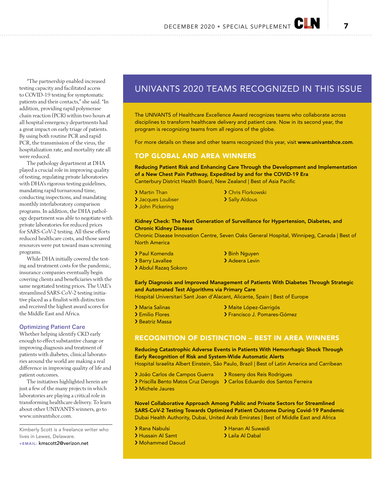"The partnership enabled increased testing capacity and facilitated access to COVID-19 testing for symptomatic patients and their contacts," she said. "In addition, providing rapid polymerase chain reaction (PCR) within two hours at all hospital emergency departments had a great impact on early triage of patients. By using both routine PCR and rapid PCR, the transmission of the virus, the hospitalization rate, and mortality rate all were reduced.

The pathology department at DHA played a crucial role in improving quality of testing, regulating private laboratories with DHA's rigorous testing guidelines, mandating rapid turnaround time, conducting inspections, and mandating monthly interlaboratory comparison programs. In addition, the DHA pathology department was able to negotiate with private laboratories for reduced prices for SARS-CoV-2 testing. All these efforts reduced healthcare costs, and those saved resources were put toward mass screening programs.

While DHA initially covered the testing and treatment costs for the pandemic, insurance companies eventually begin covering clients and beneficiaries with the same negotiated testing prices. The UAE's streamlined SARS-CoV-2 testing initiative placed as a finalist with distinction and received the highest award scores for the Middle East and Africa.

### Optimizing Patient Care

Whether helping identify CKD early enough to effect substantive change or improving diagnosis and treatment of patients with diabetes, clinical laboratories around the world are making a real difference in improving quality of life and patient outcomes.

The initiatives highlighted herein are just a few of the many projects in which laboratories are playing a critical role in transforming healthcare delivery. To learn about other UNIVANTS winners, go to www.univantshce.com.

Kimberly Scott is a freelance writer who lives in Lewes, Delaware.

+EMAIL: kmscott2@verizon.net

# UNIVANTS 2020 TEAMS RECOGNIZED IN THIS ISSUE

The UNIVANTS of Healthcare Excellence Award recognizes teams who collaborate across disciplines to transform healthcare delivery and patient care. Now in its second year, the program is recognizing teams from all regions of the globe.

For more details on these and other teams recognized this year, visit www.univantshce.com.

# TOP GLOBAL AND AREA WINNERS

Reducing Patient Risk and Enhancing Care Through the Development and Implementation of a New Chest Pain Pathway, Expedited by and for the COVID-19 Era Canterbury District Health Board, New Zealand | Best of Asia Pacific

- 
- > Martin Than **> Chris Florkowski**
- > Jacques Loubser > Sally Aldous
- > John Pickering

# Kidney Check: The Next Generation of Surveillance for Hypertension, Diabetes, and Chronic Kidney Disease

Chronic Disease Innovation Centre, Seven Oaks General Hospital, Winnipeg, Canada | Best of North America

- > Paul Komenda > Binh Nguyen
- > Barry Lavallee > Adeera Levin
- › Abdul Razaq Sokoro

# Early Diagnosis and Improved Management of Patients With Diabetes Through Strategic and Automated Test Algorithms via Primary Care Hospital Universitari Sant Joan d'Alacant, Alicante, Spain | Best of Europe

- > Maria Salinas **> Maite López-Garrigós** > Emilio Flores > > Francisco J. Pomares-Gómez
- 
- › Beatriz Massa

# RECOGNITION OF DISTINCTION – BEST IN AREA WINNERS

# Reducing Catastrophic Adverse Events in Patients With Hemorrhagic Shock Through Early Recognition of Risk and System-Wide Automatic Alerts

Hospital Israelita Albert Einstein, São Paulo, Brazil | Best of Latin America and Carribean

- > João Carlos de Campos Guerra > Roseny dos Reis Rodrigues
- › Priscilla Bento Matos Cruz Derogis › Carlos Eduardo dos Santos Ferreira
- › Michele Jaures

Novel Collaborative Approach Among Public and Private Sectors for Streamlined SARS-CoV-2 Testing Towards Optimized Patient Outcome During Covid-19 Pandemic Dubai Health Authority, Dubai, United Arab Emirates | Best of Middle East and Africa

- 
- 
- › Mohammed Daoud

> Rana Nabulsi Xanan Al Suwaidi > Hussain Al Samt > Laila Al Dabal